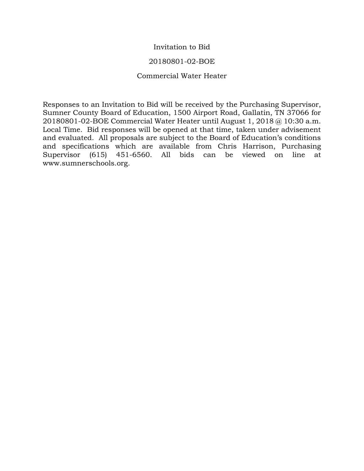### Invitation to Bid

#### 20180801-02-BOE

#### Commercial Water Heater

Responses to an Invitation to Bid will be received by the Purchasing Supervisor, Sumner County Board of Education, 1500 Airport Road, Gallatin, TN 37066 for 20180801-02-BOE Commercial Water Heater until August 1, 2018 @ 10:30 a.m. Local Time. Bid responses will be opened at that time, taken under advisement and evaluated. All proposals are subject to the Board of Education's conditions and specifications which are available from Chris Harrison, Purchasing Supervisor (615) 451-6560. All bids can be viewed on line at www.sumnerschools.org.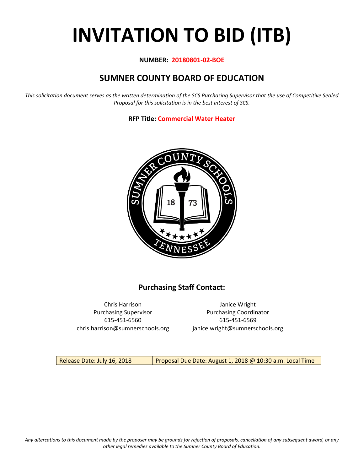# **INVITATION TO BID (ITB)**

#### **NUMBER: 20180801-02-BOE**

# **SUMNER COUNTY BOARD OF EDUCATION**

*This solicitation document serves as the written determination of the SCS Purchasing Supervisor that the use of Competitive Sealed Proposal for this solicitation is in the best interest of SCS.*

**RFP Title: Commercial Water Heater**



# **Purchasing Staff Contact:**

Chris Harrison Janice Wright 615-451-6560 615-451-6569 chris.harrison@sumnerschools.org janice.wright@sumnerschools.org

Purchasing Supervisor **Purchasing Coordinator** 

Release Date: July 16, 2018 | Proposal Due Date: August 1, 2018 @ 10:30 a.m. Local Time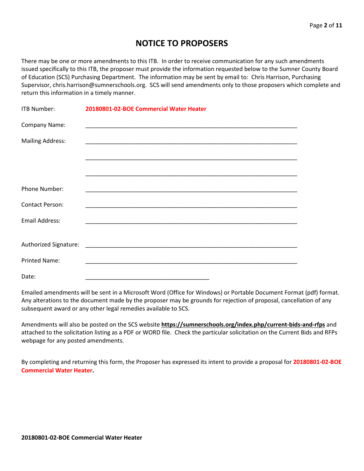# **NOTICE TO PROPOSERS**

There may be one or more amendments to this ITB. In order to receive communication for any such amendments issued specifically to this ITB, the proposer must provide the information requested below to the Sumner County Board of Education (SCS) Purchasing Department. The information may be sent by email to: Chris Harrison, Purchasing Supervisor, chris.harrison@sumnerschools.org. SCS will send amendments only to those proposers which complete and return this information in a timely manner.

| ITB Number:             | 20180801-02-BOE Commercial Water Heater |  |
|-------------------------|-----------------------------------------|--|
| Company Name:           |                                         |  |
| <b>Mailing Address:</b> |                                         |  |
|                         |                                         |  |
|                         |                                         |  |
| Phone Number:           |                                         |  |
| <b>Contact Person:</b>  |                                         |  |
| <b>Email Address:</b>   |                                         |  |
|                         |                                         |  |
|                         |                                         |  |
| <b>Printed Name:</b>    |                                         |  |
| Date:                   |                                         |  |

Emailed amendments will be sent in a Microsoft Word (Office for Windows) or Portable Document Format (pdf) format. Any alterations to the document made by the proposer may be grounds for rejection of proposal, cancellation of any subsequent award or any other legal remedies available to SCS.

Amendments will also be posted on the SCS website **https://sumnerschools.org/index.php/current-bids-and-rfps** and attached to the solicitation listing as a PDF or WORD file. Check the particular solicitation on the Current Bids and RFPs webpage for any posted amendments.

By completing and returning this form, the Proposer has expressed its intent to provide a proposal for **20180801-02-BOE Commercial Water Heater.**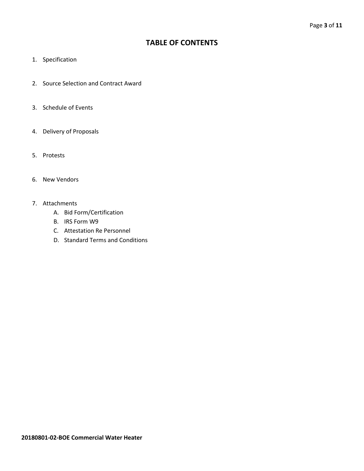# **TABLE OF CONTENTS**

- 1. Specification
- 2. Source Selection and Contract Award
- 3. Schedule of Events
- 4. Delivery of Proposals
- 5. Protests
- 6. New Vendors
- 7. Attachments
	- A. Bid Form/Certification
	- B. IRS Form W9
	- C. Attestation Re Personnel
	- D. Standard Terms and Conditions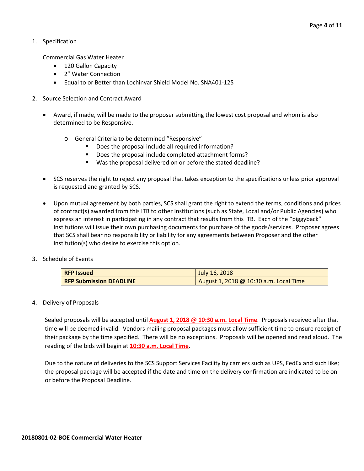1. Specification

Commercial Gas Water Heater

- 120 Gallon Capacity
- 2" Water Connection
- Equal to or Better than Lochinvar Shield Model No. SNA401-125
- 2. Source Selection and Contract Award
	- Award, if made, will be made to the proposer submitting the lowest cost proposal and whom is also determined to be Responsive.
		- o General Criteria to be determined "Responsive"
			- Does the proposal include all required information?
			- Does the proposal include completed attachment forms?
			- Was the proposal delivered on or before the stated deadline?
	- SCS reserves the right to reject any proposal that takes exception to the specifications unless prior approval is requested and granted by SCS.
	- Upon mutual agreement by both parties, SCS shall grant the right to extend the terms, conditions and prices of contract(s) awarded from this ITB to other Institutions (such as State, Local and/or Public Agencies) who express an interest in participating in any contract that results from this ITB. Each of the "piggyback" Institutions will issue their own purchasing documents for purchase of the goods/services. Proposer agrees that SCS shall bear no responsibility or liability for any agreements between Proposer and the other Institution(s) who desire to exercise this option.
- 3. Schedule of Events

| <b>RFP Issued</b>              | July 16, 2018                          |
|--------------------------------|----------------------------------------|
| <b>RFP Submission DEADLINE</b> | August 1, 2018 @ 10:30 a.m. Local Time |

4. Delivery of Proposals

Sealed proposals will be accepted until **August 1, 2018 @ 10:30 a.m. Local Time**. Proposals received after that time will be deemed invalid. Vendors mailing proposal packages must allow sufficient time to ensure receipt of their package by the time specified. There will be no exceptions. Proposals will be opened and read aloud. The reading of the bids will begin at **10:30 a.m. Local Time**.

Due to the nature of deliveries to the SCS Support Services Facility by carriers such as UPS, FedEx and such like; the proposal package will be accepted if the date and time on the delivery confirmation are indicated to be on or before the Proposal Deadline.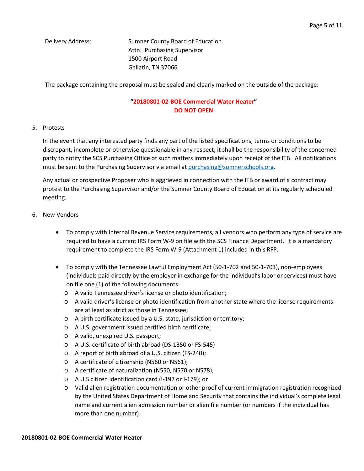Delivery Address: Sumner County Board of Education Attn: Purchasing Supervisor 1500 Airport Road Gallatin, TN 37066

The package containing the proposal must be sealed and clearly marked on the outside of the package:

### **"20180801-02-BOE Commercial Water Heater" DO NOT OPEN**

#### 5. Protests

In the event that any interested party finds any part of the listed specifications, terms or conditions to be discrepant, incomplete or otherwise questionable in any respect; it shall be the responsibility of the concerned party to notify the SCS Purchasing Office of such matters immediately upon receipt of the ITB. All notifications must be sent to the Purchasing Supervisor via email at [purchasing@sumnerschools.org.](mailto:purchasing@sumnerschools.org)

Any actual or prospective Proposer who is aggrieved in connection with the ITB or award of a contract may protest to the Purchasing Supervisor and/or the Sumner County Board of Education at its regularly scheduled meeting.

- 6. New Vendors
	- To comply with Internal Revenue Service requirements, all vendors who perform any type of service are required to have a current IRS Form W-9 on file with the SCS Finance Department. It is a mandatory requirement to complete the IRS Form W-9 (Attachment 1) included in this RFP.
	- To comply with the Tennessee Lawful Employment Act (50-1-702 and 50-1-703), non-employees (individuals paid directly by the employer in exchange for the individual's labor or services) must have on file one (1) of the following documents:
		- o A valid Tennessee driver's license or photo identification;
		- o A valid driver's license or photo identification from another state where the license requirements are at least as strict as those in Tennessee;
		- o A birth certificate issued by a U.S. state, jurisdiction or territory;
		- o A U.S. government issued certified birth certificate;
		- o A valid, unexpired U.S. passport;
		- o A U.S. certificate of birth abroad (DS-1350 or FS-545)
		- o A report of birth abroad of a U.S. citizen (FS-240);
		- o A certificate of citizenship (N560 or N561);
		- o A certificate of naturalization (N550, N570 or N578);
		- o A U.S citizen identification card (I-197 or I-179); or
		- o Valid alien registration documentation or other proof of current immigration registration recognized by the United States Department of Homeland Security that contains the individual's complete legal name and current alien admission number or alien file number (or numbers if the individual has more than one number).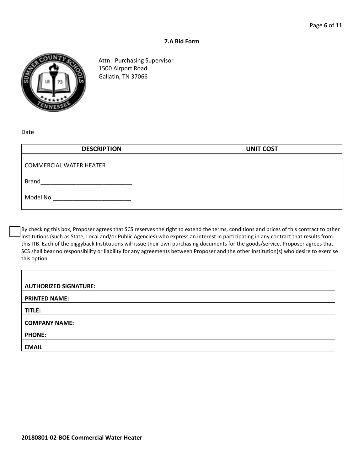#### **7.A Bid Form**



Attn: Purchasing Supervisor 1500 Airport Road Gallatin, TN 37066

Date

| <b>DESCRIPTION</b>             | <b>UNIT COST</b> |
|--------------------------------|------------------|
| <b>COMMERCIAL WATER HEATER</b> |                  |
| <b>Brand</b>                   |                  |
| Model No.                      |                  |

By checking this box, Proposer agrees that SCS reserves the right to extend the terms, conditions and prices of this contract to other Institutions (such as State, Local and/or Public Agencies) who express an interest in participating in any contract that results from this ITB. Each of the piggyback Institutions will issue their own purchasing documents for the goods/service. Proposer agrees that SCS shall bear no responsibility or liability for any agreements between Proposer and the other Institution(s) who desire to exercise this option.

| <b>AUTHORIZED SIGNATURE:</b> |  |
|------------------------------|--|
| <b>PRINTED NAME:</b>         |  |
| TITLE:                       |  |
| <b>COMPANY NAME:</b>         |  |
| <b>PHONE:</b>                |  |
| <b>EMAIL</b>                 |  |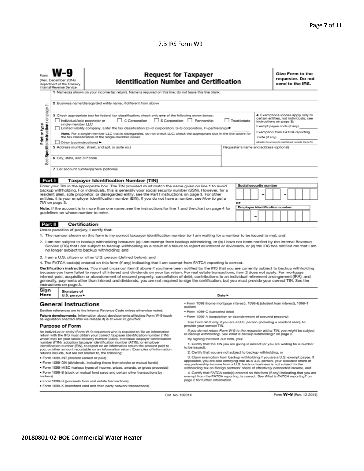#### 7.B IRS Form W9

|                                                                                                                                                                                                                                                                                                                                  | <b>Request for Taxpayer</b><br><b>Identification Number and Certification</b><br>(Rev. December 2014)<br>Department of the Treasury<br>Internal Revenue Service<br>1 Name (as shown on your income tax return). Name is required on this line; do not leave this line blank.                                                                                                                                                                                                                                                 |                                                                                                                                                                                                                                                                                                                                                                                                                                                                                                                                                                                                                               |                                                                                                                                                                                                        | Give Form to the<br>requester. Do not<br>send to the IRS. |                                                                                                                                                                         |                                                   |  |  |
|----------------------------------------------------------------------------------------------------------------------------------------------------------------------------------------------------------------------------------------------------------------------------------------------------------------------------------|------------------------------------------------------------------------------------------------------------------------------------------------------------------------------------------------------------------------------------------------------------------------------------------------------------------------------------------------------------------------------------------------------------------------------------------------------------------------------------------------------------------------------|-------------------------------------------------------------------------------------------------------------------------------------------------------------------------------------------------------------------------------------------------------------------------------------------------------------------------------------------------------------------------------------------------------------------------------------------------------------------------------------------------------------------------------------------------------------------------------------------------------------------------------|--------------------------------------------------------------------------------------------------------------------------------------------------------------------------------------------------------|-----------------------------------------------------------|-------------------------------------------------------------------------------------------------------------------------------------------------------------------------|---------------------------------------------------|--|--|
| $\sim$<br>page                                                                                                                                                                                                                                                                                                                   | 2 Business name/disregarded entity name, if different from above                                                                                                                                                                                                                                                                                                                                                                                                                                                             |                                                                                                                                                                                                                                                                                                                                                                                                                                                                                                                                                                                                                               |                                                                                                                                                                                                        |                                                           |                                                                                                                                                                         |                                                   |  |  |
| Specific Instructions on<br>Print or type                                                                                                                                                                                                                                                                                        | 3 Check appropriate box for federal tax classification; check only one of the following seven boxes:<br>S Corporation Partnership<br>Individual/sole proprietor or<br>$\Box$ C Corporation<br>Trust/estate<br>single-member LLC<br>Limited liability company. Enter the tax classification (C=C corporation, S=S corporation, P=partnership) ▶<br>Note. For a single-member LLC that is disregarded, do not check LLC; check the appropriate box in the line above for<br>the tax classification of the single-member owner. |                                                                                                                                                                                                                                                                                                                                                                                                                                                                                                                                                                                                                               |                                                                                                                                                                                                        | code (if any)                                             | 4 Exemptions (codes apply only to<br>certain entities, not individuals; see<br>instructions on page 3):<br>Exempt payee code (if any)<br>Exemption from FATCA reporting |                                                   |  |  |
|                                                                                                                                                                                                                                                                                                                                  | Other (see instructions)                                                                                                                                                                                                                                                                                                                                                                                                                                                                                                     |                                                                                                                                                                                                                                                                                                                                                                                                                                                                                                                                                                                                                               |                                                                                                                                                                                                        |                                                           |                                                                                                                                                                         | (Applies to accounts maintained outside the U.S.) |  |  |
|                                                                                                                                                                                                                                                                                                                                  | 5 Address (number, street, and apt. or suite no.)<br>Requester's name and address (optional)                                                                                                                                                                                                                                                                                                                                                                                                                                 |                                                                                                                                                                                                                                                                                                                                                                                                                                                                                                                                                                                                                               |                                                                                                                                                                                                        |                                                           |                                                                                                                                                                         |                                                   |  |  |
| See                                                                                                                                                                                                                                                                                                                              | 6 City, state, and ZIP code                                                                                                                                                                                                                                                                                                                                                                                                                                                                                                  |                                                                                                                                                                                                                                                                                                                                                                                                                                                                                                                                                                                                                               |                                                                                                                                                                                                        |                                                           |                                                                                                                                                                         |                                                   |  |  |
|                                                                                                                                                                                                                                                                                                                                  |                                                                                                                                                                                                                                                                                                                                                                                                                                                                                                                              | 7 List account number(s) here (optional)                                                                                                                                                                                                                                                                                                                                                                                                                                                                                                                                                                                      |                                                                                                                                                                                                        |                                                           |                                                                                                                                                                         |                                                   |  |  |
| Part I                                                                                                                                                                                                                                                                                                                           |                                                                                                                                                                                                                                                                                                                                                                                                                                                                                                                              | <b>Taxpayer Identification Number (TIN)</b>                                                                                                                                                                                                                                                                                                                                                                                                                                                                                                                                                                                   |                                                                                                                                                                                                        |                                                           |                                                                                                                                                                         |                                                   |  |  |
|                                                                                                                                                                                                                                                                                                                                  |                                                                                                                                                                                                                                                                                                                                                                                                                                                                                                                              | Enter your TIN in the appropriate box. The TIN provided must match the name given on line 1 to avoid                                                                                                                                                                                                                                                                                                                                                                                                                                                                                                                          |                                                                                                                                                                                                        |                                                           | Social security number                                                                                                                                                  |                                                   |  |  |
| backup withholding. For individuals, this is generally your social security number (SSN). However, for a<br>resident alien, sole proprietor, or disregarded entity, see the Part I instructions on page 3. For other<br>entities, it is your employer identification number (EIN). If you do not have a number, see How to get a |                                                                                                                                                                                                                                                                                                                                                                                                                                                                                                                              |                                                                                                                                                                                                                                                                                                                                                                                                                                                                                                                                                                                                                               |                                                                                                                                                                                                        |                                                           |                                                                                                                                                                         |                                                   |  |  |
|                                                                                                                                                                                                                                                                                                                                  | TIN on page 3.                                                                                                                                                                                                                                                                                                                                                                                                                                                                                                               |                                                                                                                                                                                                                                                                                                                                                                                                                                                                                                                                                                                                                               |                                                                                                                                                                                                        | or                                                        | <b>Employer identification number</b>                                                                                                                                   |                                                   |  |  |
|                                                                                                                                                                                                                                                                                                                                  | guidelines on whose number to enter.                                                                                                                                                                                                                                                                                                                                                                                                                                                                                         | Note. If the account is in more than one name, see the instructions for line 1 and the chart on page 4 for                                                                                                                                                                                                                                                                                                                                                                                                                                                                                                                    |                                                                                                                                                                                                        |                                                           |                                                                                                                                                                         |                                                   |  |  |
| Part II                                                                                                                                                                                                                                                                                                                          | <b>Certification</b>                                                                                                                                                                                                                                                                                                                                                                                                                                                                                                         |                                                                                                                                                                                                                                                                                                                                                                                                                                                                                                                                                                                                                               |                                                                                                                                                                                                        |                                                           |                                                                                                                                                                         |                                                   |  |  |
|                                                                                                                                                                                                                                                                                                                                  | Under penalties of perjury, I certify that:                                                                                                                                                                                                                                                                                                                                                                                                                                                                                  |                                                                                                                                                                                                                                                                                                                                                                                                                                                                                                                                                                                                                               |                                                                                                                                                                                                        |                                                           |                                                                                                                                                                         |                                                   |  |  |
|                                                                                                                                                                                                                                                                                                                                  |                                                                                                                                                                                                                                                                                                                                                                                                                                                                                                                              | 1. The number shown on this form is my correct taxpayer identification number (or I am waiting for a number to be issued to me); and                                                                                                                                                                                                                                                                                                                                                                                                                                                                                          |                                                                                                                                                                                                        |                                                           |                                                                                                                                                                         |                                                   |  |  |
|                                                                                                                                                                                                                                                                                                                                  |                                                                                                                                                                                                                                                                                                                                                                                                                                                                                                                              | 2. I am not subject to backup withholding because: (a) I am exempt from backup withholding, or (b) I have not been notified by the Internal Revenue<br>Service (IRS) that I am subject to backup withholding as a result of a failure to report all interest or dividends, or (c) the IRS has notified me that I am<br>no longer subject to backup withholding; and                                                                                                                                                                                                                                                           |                                                                                                                                                                                                        |                                                           |                                                                                                                                                                         |                                                   |  |  |
|                                                                                                                                                                                                                                                                                                                                  |                                                                                                                                                                                                                                                                                                                                                                                                                                                                                                                              | 3. I am a U.S. citizen or other U.S. person (defined below); and                                                                                                                                                                                                                                                                                                                                                                                                                                                                                                                                                              |                                                                                                                                                                                                        |                                                           |                                                                                                                                                                         |                                                   |  |  |
|                                                                                                                                                                                                                                                                                                                                  |                                                                                                                                                                                                                                                                                                                                                                                                                                                                                                                              | 4. The FATCA code(s) entered on this form (if any) indicating that I am exempt from FATCA reporting is correct.                                                                                                                                                                                                                                                                                                                                                                                                                                                                                                               |                                                                                                                                                                                                        |                                                           |                                                                                                                                                                         |                                                   |  |  |
|                                                                                                                                                                                                                                                                                                                                  | instructions on page 3.                                                                                                                                                                                                                                                                                                                                                                                                                                                                                                      | Certification instructions. You must cross out item 2 above if you have been notified by the IRS that you are currently subject to backup withholding<br>because you have failed to report all interest and dividends on your tax return. For real estate transactions, item 2 does not apply. For mortgage<br>interest paid, acquisition or abandonment of secured property, cancellation of debt, contributions to an individual retirement arrangement (IRA), and<br>generally, payments other than interest and dividends, you are not required to sign the certification, but you must provide your correct TIN. See the |                                                                                                                                                                                                        |                                                           |                                                                                                                                                                         |                                                   |  |  |
| Sign<br>Here                                                                                                                                                                                                                                                                                                                     | Signature of<br>U.S. person $\blacktriangleright$                                                                                                                                                                                                                                                                                                                                                                                                                                                                            |                                                                                                                                                                                                                                                                                                                                                                                                                                                                                                                                                                                                                               |                                                                                                                                                                                                        | Date $\blacktriangleright$                                |                                                                                                                                                                         |                                                   |  |  |
|                                                                                                                                                                                                                                                                                                                                  | <b>General Instructions</b>                                                                                                                                                                                                                                                                                                                                                                                                                                                                                                  |                                                                                                                                                                                                                                                                                                                                                                                                                                                                                                                                                                                                                               | · Form 1098 (home mortgage interest), 1098-E (student loan interest), 1098-T<br>(tuition)                                                                                                              |                                                           |                                                                                                                                                                         |                                                   |  |  |
| Section references are to the Internal Revenue Code unless otherwise noted.                                                                                                                                                                                                                                                      |                                                                                                                                                                                                                                                                                                                                                                                                                                                                                                                              | · Form 1099-C (canceled debt)                                                                                                                                                                                                                                                                                                                                                                                                                                                                                                                                                                                                 |                                                                                                                                                                                                        |                                                           |                                                                                                                                                                         |                                                   |  |  |
| Future developments. Information about developments affecting Form W-9 (such                                                                                                                                                                                                                                                     |                                                                                                                                                                                                                                                                                                                                                                                                                                                                                                                              |                                                                                                                                                                                                                                                                                                                                                                                                                                                                                                                                                                                                                               | · Form 1099-A (acquisition or abandonment of secured property)                                                                                                                                         |                                                           |                                                                                                                                                                         |                                                   |  |  |
| as legislation enacted after we release it) is at www.irs.gov/fw9.<br><b>Purpose of Form</b>                                                                                                                                                                                                                                     |                                                                                                                                                                                                                                                                                                                                                                                                                                                                                                                              | Use Form W-9 only if you are a U.S. person (including a resident alien), to<br>provide your correct TIN.                                                                                                                                                                                                                                                                                                                                                                                                                                                                                                                      |                                                                                                                                                                                                        |                                                           |                                                                                                                                                                         |                                                   |  |  |
|                                                                                                                                                                                                                                                                                                                                  | If you do not return Form W-9 to the requester with a TIN, you might be subject<br>An individual or entity (Form W-9 requester) who is required to file an information<br>to backup withholding. See What is backup withholding? on page 2.<br>return with the IRS must obtain your correct taxpayer identification number (TIN)                                                                                                                                                                                             |                                                                                                                                                                                                                                                                                                                                                                                                                                                                                                                                                                                                                               |                                                                                                                                                                                                        |                                                           |                                                                                                                                                                         |                                                   |  |  |
|                                                                                                                                                                                                                                                                                                                                  |                                                                                                                                                                                                                                                                                                                                                                                                                                                                                                                              | which may be your social security number (SSN), individual taxpayer identification                                                                                                                                                                                                                                                                                                                                                                                                                                                                                                                                            | By signing the filled-out form, you:                                                                                                                                                                   |                                                           |                                                                                                                                                                         |                                                   |  |  |
| number (ITIN), adoption taxpayer identification number (ATIN), or employer<br>identification number (EIN), to report on an information return the amount paid to<br>you, or other amount reportable on an information return. Examples of information                                                                            |                                                                                                                                                                                                                                                                                                                                                                                                                                                                                                                              | 1. Certify that the TIN you are giving is correct (or you are waiting for a number<br>to be issued).<br>2. Certify that you are not subject to backup withholding, or                                                                                                                                                                                                                                                                                                                                                                                                                                                         |                                                                                                                                                                                                        |                                                           |                                                                                                                                                                         |                                                   |  |  |
| returns include, but are not limited to, the following:<br>3. Claim exemption from backup withholding if you are a U.S. exempt payee. If                                                                                                                                                                                         |                                                                                                                                                                                                                                                                                                                                                                                                                                                                                                                              |                                                                                                                                                                                                                                                                                                                                                                                                                                                                                                                                                                                                                               |                                                                                                                                                                                                        |                                                           |                                                                                                                                                                         |                                                   |  |  |
| · Form 1099-INT (interest earned or paid)<br>applicable, you are also certifying that as a U.S. person, your allocable share of<br>. Form 1099-DIV (dividends, including those from stocks or mutual funds)<br>any partnership income from a U.S. trade or business is not subject to the                                        |                                                                                                                                                                                                                                                                                                                                                                                                                                                                                                                              |                                                                                                                                                                                                                                                                                                                                                                                                                                                                                                                                                                                                                               |                                                                                                                                                                                                        |                                                           |                                                                                                                                                                         |                                                   |  |  |
|                                                                                                                                                                                                                                                                                                                                  |                                                                                                                                                                                                                                                                                                                                                                                                                                                                                                                              | * Form 1099-MISC (various types of income, prizes, awards, or gross proceeds)                                                                                                                                                                                                                                                                                                                                                                                                                                                                                                                                                 | withholding tax on foreign partners' share of effectively connected income, and                                                                                                                        |                                                           |                                                                                                                                                                         |                                                   |  |  |
| . Form 1099-B (stock or mutual fund sales and certain other transactions by<br>brokers)                                                                                                                                                                                                                                          |                                                                                                                                                                                                                                                                                                                                                                                                                                                                                                                              |                                                                                                                                                                                                                                                                                                                                                                                                                                                                                                                                                                                                                               | 4. Certify that FATCA code(s) entered on this form (if any) indicating that you are<br>exempt from the FATCA reporting, is correct. See What is FATCA reporting? on<br>page 2 for further information. |                                                           |                                                                                                                                                                         |                                                   |  |  |
|                                                                                                                                                                                                                                                                                                                                  | · Form 1099-S (proceeds from real estate transactions)<br>. Form 1099-K (merchant card and third party network transactions)                                                                                                                                                                                                                                                                                                                                                                                                 |                                                                                                                                                                                                                                                                                                                                                                                                                                                                                                                                                                                                                               |                                                                                                                                                                                                        |                                                           |                                                                                                                                                                         |                                                   |  |  |

Cat. No. 10231X

Form W-9 (Rev. 12-2014)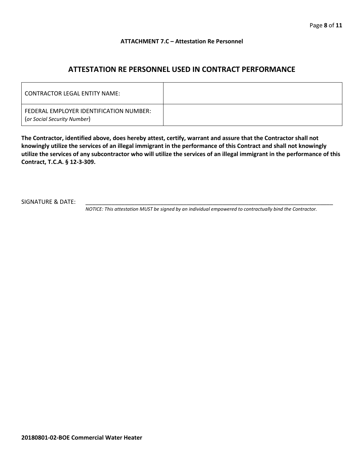#### **ATTACHMENT 7.C – Attestation Re Personnel**

# **ATTESTATION RE PERSONNEL USED IN CONTRACT PERFORMANCE**

| CONTRACTOR LEGAL ENTITY NAME:                                          |  |
|------------------------------------------------------------------------|--|
| FEDERAL EMPLOYER IDENTIFICATION NUMBER:<br>(or Social Security Number) |  |

**The Contractor, identified above, does hereby attest, certify, warrant and assure that the Contractor shall not knowingly utilize the services of an illegal immigrant in the performance of this Contract and shall not knowingly utilize the services of any subcontractor who will utilize the services of an illegal immigrant in the performance of this Contract, T.C.A. § 12-3-309.**

SIGNATURE & DATE:

*NOTICE: This attestation MUST be signed by an individual empowered to contractually bind the Contractor.*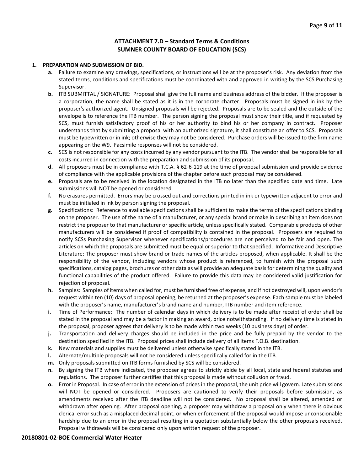#### **ATTACHMENT 7.D – Standard Terms & Conditions SUMNER COUNTY BOARD OF EDUCATION (SCS)**

#### **1. PREPARATION AND SUBMISSION OF BID.**

- **a.** Failure to examine any drawings**,** specifications, or instructions will be at the proposer's risk. Any deviation from the stated terms, conditions and specifications must be coordinated with and approved in writing by the SCS Purchasing Supervisor.
- **b.** ITB SUBMITTAL / SIGNATURE: Proposal shall give the full name and business address of the bidder. If the proposer is a corporation, the name shall be stated as it is in the corporate charter. Proposals must be signed in ink by the proposer's authorized agent. Unsigned proposals will be rejected. Proposals are to be sealed and the outside of the envelope is to reference the ITB number. The person signing the proposal must show their title, and if requested by SCS, must furnish satisfactory proof of his or her authority to bind his or her company in contract. Proposer understands that by submitting a proposal with an authorized signature, it shall constitute an offer to SCS. Proposals must be typewritten or in ink; otherwise they may not be considered. Purchase orders will be issued to the firm name appearing on the W9. Facsimile responses will not be considered.
- **c.** SCS is not responsible for any costs incurred by any vendor pursuant to the ITB. The vendor shall be responsible for all costs incurred in connection with the preparation and submission of its proposal.
- **d.** All proposers must be in compliance with T.C.A. § 62-6-119 at the time of proposal submission and provide evidence of compliance with the applicable provisions of the chapter before such proposal may be considered.
- **e.** Proposals are to be received in the location designated in the ITB no later than the specified date and time. Late submissions will NOT be opened or considered.
- **f.** No erasures permitted. Errors may be crossed out and corrections printed in ink or typewritten adjacent to error and must be initialed in ink by person signing the proposal.
- **g.** Specifications: Reference to available specifications shall be sufficient to make the terms of the specifications binding on the proposer. The use of the name of a manufacturer, or any special brand or make in describing an item does not restrict the proposer to that manufacturer or specific article, unless specifically stated. Comparable products of other manufacturers will be considered if proof of compatibility is contained in the proposal. Proposers are required to notify SCSs Purchasing Supervisor whenever specifications/procedures are not perceived to be fair and open. The articles on which the proposals are submitted must be equal or superior to that specified. Informative and Descriptive Literature: The proposer must show brand or trade names of the articles proposed, when applicable. It shall be the responsibility of the vendor, including vendors whose product is referenced, to furnish with the proposal such specifications, catalog pages, brochures or other data as will provide an adequate basis for determining the quality and functional capabilities of the product offered. Failure to provide this data may be considered valid justification for rejection of proposal.
- **h.** Samples: Samples of items when called for, must be furnished free of expense, and if not destroyed will, upon vendor's request within ten (10) days of proposal opening, be returned at the proposer's expense. Each sample must be labeled with the proposer's name, manufacturer's brand name and number, ITB number and item reference.
- **i.** Time of Performance: The number of calendar days in which delivery is to be made after receipt of order shall be stated in the proposal and may be a factor in making an award, price notwithstanding. If no delivery time is stated in the proposal, proposer agrees that delivery is to be made within two weeks (10 business days) of order.
- **j.** Transportation and delivery charges should be included in the price and be fully prepaid by the vendor to the destination specified in the ITB. Proposal prices shall include delivery of all items F.O.B. destination.
- **k.** New materials and supplies must be delivered unless otherwise specifically stated in the ITB.
- **l.** Alternate/multiple proposals will not be considered unless specifically called for in the ITB.
- **m.** Only proposals submitted on ITB forms furnished by SCS will be considered.
- **n.** By signing the ITB where indicated, the proposer agrees to strictly abide by all local, state and federal statutes and regulations. The proposer further certifies that this proposal is made without collusion or fraud.
- **o.** Error in Proposal. In case of error in the extension of prices in the proposal, the unit price will govern. Late submissions will NOT be opened or considered. Proposers are cautioned to verify their proposals before submission, as amendments received after the ITB deadline will not be considered. No proposal shall be altered, amended or withdrawn after opening. After proposal opening, a proposer may withdraw a proposal only when there is obvious clerical error such as a misplaced decimal point, or when enforcement of the proposal would impose unconscionable hardship due to an error in the proposal resulting in a quotation substantially below the other proposals received. Proposal withdrawals will be considered only upon written request of the proposer.

#### **20180801-02-BOE Commercial Water Heater**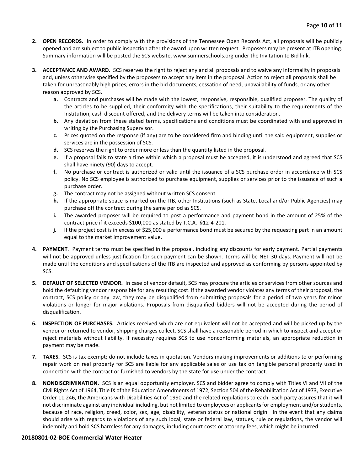- **2. OPEN RECORDS.** In order to comply with the provisions of the Tennessee Open Records Act, all proposals will be publicly opened and are subject to public inspection after the award upon written request. Proposers may be present at ITB opening. Summary information will be posted the SCS website, www.sumnerschools.org under the Invitation to Bid link.
- **3. ACCEPTANCE AND AWARD.** SCS reserves the right to reject any and all proposals and to waive any informality in proposals and, unless otherwise specified by the proposers to accept any item in the proposal. Action to reject all proposals shall be taken for unreasonably high prices, errors in the bid documents, cessation of need, unavailability of funds, or any other reason approved by SCS.
	- **a.** Contracts and purchases will be made with the lowest, responsive, responsible, qualified proposer. The quality of the articles to be supplied, their conformity with the specifications, their suitability to the requirements of the Institution, cash discount offered, and the delivery terms will be taken into consideration.
	- **b.** Any deviation from these stated terms, specifications and conditions must be coordinated with and approved in writing by the Purchasing Supervisor.
	- **c.** Prices quoted on the response (if any) are to be considered firm and binding until the said equipment, supplies or services are in the possession of SCS.
	- **d.** SCS reserves the right to order more or less than the quantity listed in the proposal.
	- **e.** If a proposal fails to state a time within which a proposal must be accepted, it is understood and agreed that SCS shall have ninety (90) days to accept.
	- **f.** No purchase or contract is authorized or valid until the issuance of a SCS purchase order in accordance with SCS policy. No SCS employee is authorized to purchase equipment, supplies or services prior to the issuance of such a purchase order.
	- **g.** The contract may not be assigned without written SCS consent.
	- **h.** If the appropriate space is marked on the ITB, other Institutions (such as State, Local and/or Public Agencies) may purchase off the contract during the same period as SCS.
	- **i.** The awarded proposer will be required to post a performance and payment bond in the amount of 25% of the contract price if it exceeds \$100,000 as stated by T.C.A. §12-4-201.
	- **j.** If the project cost is in excess of \$25,000 a performance bond must be secured by the requesting part in an amount equal to the market improvement value.
- **4. PAYMENT**. Payment terms must be specified in the proposal, including any discounts for early payment. Partial payments will not be approved unless justification for such payment can be shown. Terms will be NET 30 days. Payment will not be made until the conditions and specifications of the ITB are inspected and approved as conforming by persons appointed by SCS.
- **5. DEFAULT OF SELECTED VENDOR.** In case of vendor default, SCS may procure the articles or services from other sources and hold the defaulting vendor responsible for any resulting cost. If the awarded vendor violates any terms of their proposal, the contract, SCS policy or any law, they may be disqualified from submitting proposals for a period of two years for minor violations or longer for major violations. Proposals from disqualified bidders will not be accepted during the period of disqualification.
- **6. INSPECTION OF PURCHASES.** Articles received which are not equivalent will not be accepted and will be picked up by the vendor or returned to vendor, shipping charges collect. SCS shall have a reasonable period in which to inspect and accept or reject materials without liability. If necessity requires SCS to use nonconforming materials, an appropriate reduction in payment may be made.
- **7. TAXES.** SCS is tax exempt; do not include taxes in quotation. Vendors making improvements or additions to or performing repair work on real property for SCS are liable for any applicable sales or use tax on tangible personal property used in connection with the contract or furnished to vendors by the state for use under the contract.
- **8. NONDISCRIMINATION.** SCS is an equal opportunity employer. SCS and bidder agree to comply with Titles VI and VII of the Civil Rights Act of 1964, Title IX of the Education Amendments of 1972, Section 504 of the Rehabilitation Act of 1973, Executive Order 11,246, the Americans with Disabilities Act of 1990 and the related regulations to each. Each party assures that it will not discriminate against any individual including, but not limited to employees or applicants for employment and/or students, because of race, religion, creed, color, sex, age, disability, veteran status or national origin. In the event that any claims should arise with regards to violations of any such local, state or federal law, statues, rule or regulations, the vendor will indemnify and hold SCS harmless for any damages, including court costs or attorney fees, which might be incurred.

#### **20180801-02-BOE Commercial Water Heater**